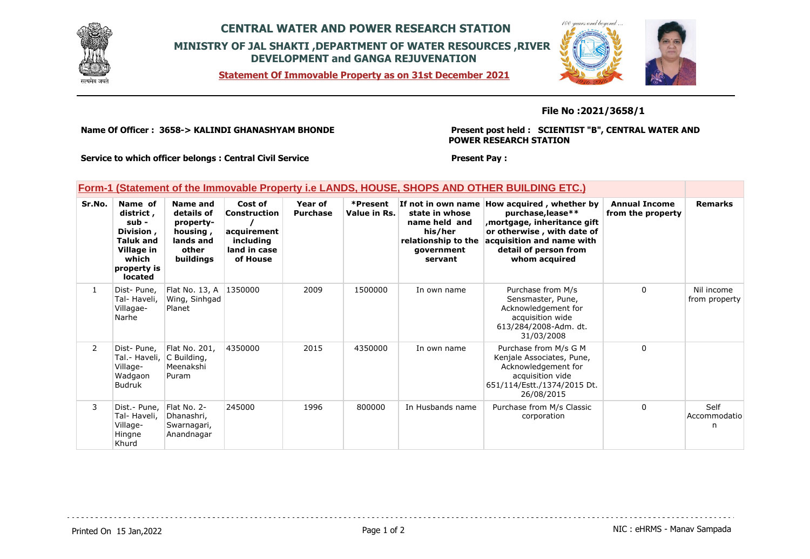

# **CENTRAL WATER AND POWER RESEARCH STATION MINISTRY OF JAL SHAKTI ,DEPARTMENT OF WATER RESOURCES ,RIVER DEVELOPMENT and GANGA REJUVENATION**

**Statement Of Immovable Property as on 31st December 2021**



### **File No :2021/3658/1**

**Name Of Officer : 3658-> KALINDI GHANASHYAM BHONDE** 

**Present post held : SCIENTIST "B", CENTRAL WATER AND POWER RESEARCH STATION**

**Service to which officer belongs : Central Civil Service**

### **Present Pay :**

|  |  | Form-1 (Statement of the Immovable Property i.e LANDS, HOUSE, SHOPS AND OTHER BUILDING ETC.) |  |  |
|--|--|----------------------------------------------------------------------------------------------|--|--|
|--|--|----------------------------------------------------------------------------------------------|--|--|

| Sr.No.         | Name of<br>district ,<br>sub -<br>Division,<br><b>Taluk and</b><br>Village in<br>which<br>property is<br><b>located</b> | Name and<br>details of<br>property-<br>housing,<br>lands and<br>other<br>buildings | Cost of<br>Construction<br>acquirement<br>including<br>land in case<br>of House | Year of<br><b>Purchase</b> | *Present<br>Value in Rs. | If not in own name<br>state in whose<br>name held and<br>his/her<br>relationship to the<br>government<br>servant | How acquired, whether by<br>purchase, lease**<br>mortgage, inheritance gift,<br>or otherwise, with date of<br>acquisition and name with<br>detail of person from<br>whom acquired | <b>Annual Income</b><br>from the property | <b>Remarks</b>              |
|----------------|-------------------------------------------------------------------------------------------------------------------------|------------------------------------------------------------------------------------|---------------------------------------------------------------------------------|----------------------------|--------------------------|------------------------------------------------------------------------------------------------------------------|-----------------------------------------------------------------------------------------------------------------------------------------------------------------------------------|-------------------------------------------|-----------------------------|
| $\mathbf{1}$   | Dist-Pune,<br>Tal- Haveli,<br>Villagae-<br>Narhe                                                                        | Flat No. 13, A<br>Wing, Sinhgad<br>Planet                                          | 1350000                                                                         | 2009                       | 1500000                  | In own name                                                                                                      | Purchase from M/s<br>Sensmaster, Pune,<br>Acknowledgement for<br>acquisition wide<br>613/284/2008-Adm. dt.<br>31/03/2008                                                          | 0                                         | Nil income<br>from property |
| $\overline{2}$ | Dist-Pune,<br>Tal.- Haveli,<br>Village-<br>Wadgaon<br><b>Budruk</b>                                                     | Flat No. 201,<br>C Building,<br>Meenakshi<br>Puram                                 | 4350000                                                                         | 2015                       | 4350000                  | In own name                                                                                                      | Purchase from M/s G M<br>Kenjale Associates, Pune,<br>Acknowledgement for<br>acquisition vide<br>651/114/Estt./1374/2015 Dt.<br>26/08/2015                                        | 0                                         |                             |
| 3              | Dist.- Pune,<br>Tal- Haveli,<br>Village-<br>Hingne<br>Khurd                                                             | Flat No. 2-<br>Dhanashri,<br>Swarnagari,<br>Anandnagar                             | 245000                                                                          | 1996                       | 800000                   | In Husbands name                                                                                                 | Purchase from M/s Classic<br>corporation                                                                                                                                          | $\Omega$                                  | Self<br>Accommodatio<br>n   |